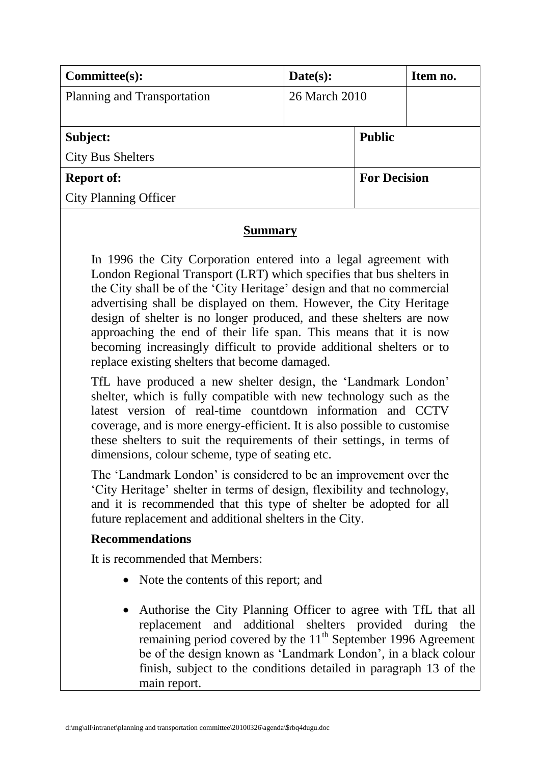| Committee(s):                | Date(s):      |                     | Item no. |
|------------------------------|---------------|---------------------|----------|
| Planning and Transportation  | 26 March 2010 |                     |          |
|                              |               |                     |          |
| Subject:                     |               | <b>Public</b>       |          |
| <b>City Bus Shelters</b>     |               |                     |          |
| <b>Report of:</b>            |               | <b>For Decision</b> |          |
| <b>City Planning Officer</b> |               |                     |          |

## **Summary**

In 1996 the City Corporation entered into a legal agreement with London Regional Transport (LRT) which specifies that bus shelters in the City shall be of the "City Heritage" design and that no commercial advertising shall be displayed on them. However, the City Heritage design of shelter is no longer produced, and these shelters are now approaching the end of their life span. This means that it is now becoming increasingly difficult to provide additional shelters or to replace existing shelters that become damaged.

TfL have produced a new shelter design, the "Landmark London" shelter, which is fully compatible with new technology such as the latest version of real-time countdown information and CCTV coverage, and is more energy-efficient. It is also possible to customise these shelters to suit the requirements of their settings, in terms of dimensions, colour scheme, type of seating etc.

The "Landmark London" is considered to be an improvement over the "City Heritage" shelter in terms of design, flexibility and technology, and it is recommended that this type of shelter be adopted for all future replacement and additional shelters in the City.

# **Recommendations**

It is recommended that Members:

- Note the contents of this report; and
- Authorise the City Planning Officer to agree with TfL that all replacement and additional shelters provided during the remaining period covered by the  $11<sup>th</sup>$  September 1996 Agreement be of the design known as "Landmark London", in a black colour finish, subject to the conditions detailed in paragraph 13 of the main report.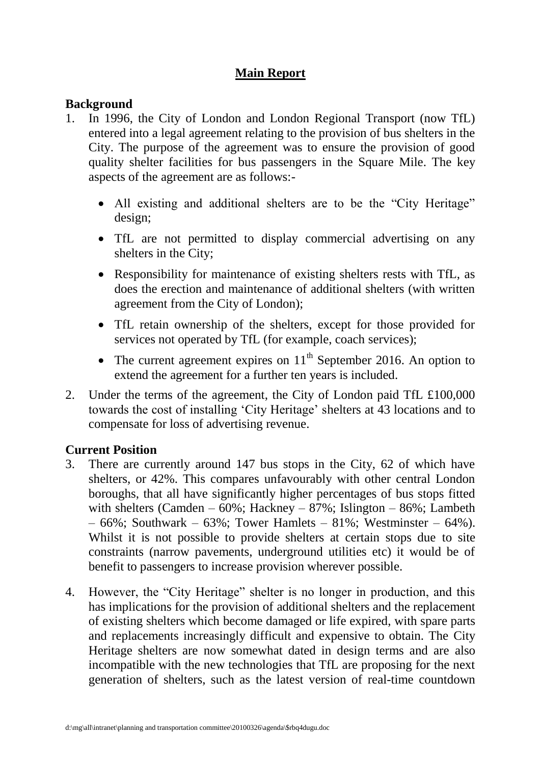# **Main Report**

## **Background**

- 1. In 1996, the City of London and London Regional Transport (now TfL) entered into a legal agreement relating to the provision of bus shelters in the City. The purpose of the agreement was to ensure the provision of good quality shelter facilities for bus passengers in the Square Mile. The key aspects of the agreement are as follows:-
	- All existing and additional shelters are to be the "City Heritage" design;
	- TfL are not permitted to display commercial advertising on any shelters in the City;
	- Responsibility for maintenance of existing shelters rests with TfL, as does the erection and maintenance of additional shelters (with written agreement from the City of London);
	- TfL retain ownership of the shelters, except for those provided for services not operated by TfL (for example, coach services);
	- The current agreement expires on  $11<sup>th</sup>$  September 2016. An option to extend the agreement for a further ten years is included.
- 2. Under the terms of the agreement, the City of London paid TfL £100,000 towards the cost of installing "City Heritage" shelters at 43 locations and to compensate for loss of advertising revenue.

### **Current Position**

- 3. There are currently around 147 bus stops in the City, 62 of which have shelters, or 42%. This compares unfavourably with other central London boroughs, that all have significantly higher percentages of bus stops fitted with shelters (Camden –  $60\%$ ; Hackney –  $87\%$ ; Islington –  $86\%$ ; Lambeth  $-66\%$ ; Southwark – 63%; Tower Hamlets – 81%; Westminster – 64%). Whilst it is not possible to provide shelters at certain stops due to site constraints (narrow pavements, underground utilities etc) it would be of benefit to passengers to increase provision wherever possible.
- 4. However, the "City Heritage" shelter is no longer in production, and this has implications for the provision of additional shelters and the replacement of existing shelters which become damaged or life expired, with spare parts and replacements increasingly difficult and expensive to obtain. The City Heritage shelters are now somewhat dated in design terms and are also incompatible with the new technologies that TfL are proposing for the next generation of shelters, such as the latest version of real-time countdown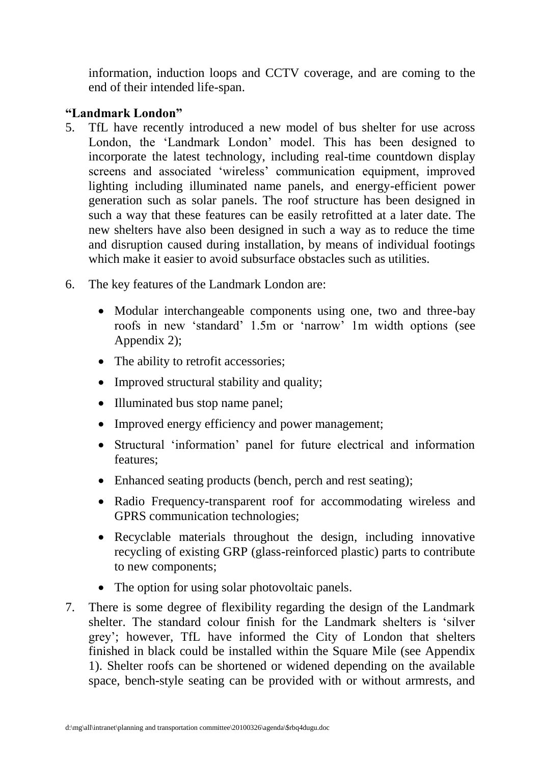information, induction loops and CCTV coverage, and are coming to the end of their intended life-span.

### **"Landmark London"**

- 5. TfL have recently introduced a new model of bus shelter for use across London, the "Landmark London" model. This has been designed to incorporate the latest technology, including real-time countdown display screens and associated 'wireless' communication equipment, improved lighting including illuminated name panels, and energy-efficient power generation such as solar panels. The roof structure has been designed in such a way that these features can be easily retrofitted at a later date. The new shelters have also been designed in such a way as to reduce the time and disruption caused during installation, by means of individual footings which make it easier to avoid subsurface obstacles such as utilities.
- 6. The key features of the Landmark London are:
	- Modular interchangeable components using one, two and three-bay roofs in new "standard" 1.5m or "narrow" 1m width options (see Appendix 2);
	- The ability to retrofit accessories;
	- Improved structural stability and quality;
	- Illuminated bus stop name panel;
	- Improved energy efficiency and power management;
	- Structural "information" panel for future electrical and information features;
	- Enhanced seating products (bench, perch and rest seating);
	- Radio Frequency-transparent roof for accommodating wireless and GPRS communication technologies;
	- Recyclable materials throughout the design, including innovative recycling of existing GRP (glass-reinforced plastic) parts to contribute to new components;
	- The option for using solar photovoltaic panels.
- 7. There is some degree of flexibility regarding the design of the Landmark shelter. The standard colour finish for the Landmark shelters is "silver grey"; however, TfL have informed the City of London that shelters finished in black could be installed within the Square Mile (see Appendix 1). Shelter roofs can be shortened or widened depending on the available space, bench-style seating can be provided with or without armrests, and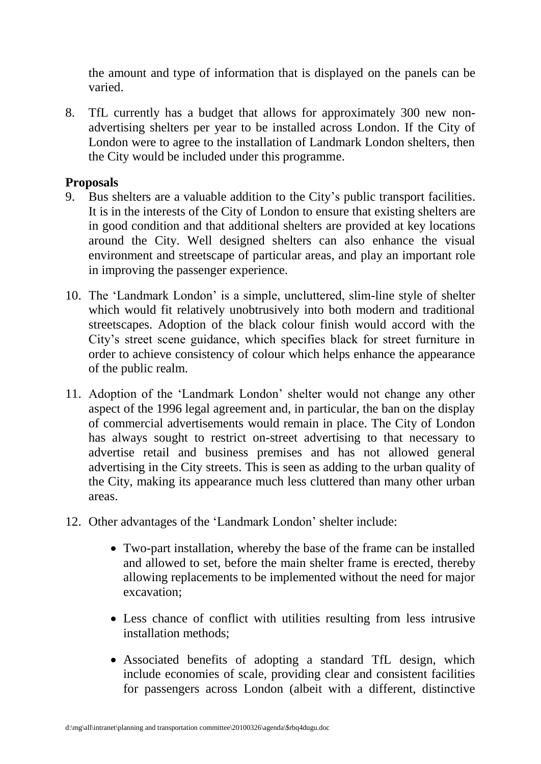the amount and type of information that is displayed on the panels can be varied.

8. TfL currently has a budget that allows for approximately 300 new nonadvertising shelters per year to be installed across London. If the City of London were to agree to the installation of Landmark London shelters, then the City would be included under this programme.

### **Proposals**

- 9. Bus shelters are a valuable addition to the City"s public transport facilities. It is in the interests of the City of London to ensure that existing shelters are in good condition and that additional shelters are provided at key locations around the City. Well designed shelters can also enhance the visual environment and streetscape of particular areas, and play an important role in improving the passenger experience.
- 10. The "Landmark London" is a simple, uncluttered, slim-line style of shelter which would fit relatively unobtrusively into both modern and traditional streetscapes. Adoption of the black colour finish would accord with the City"s street scene guidance, which specifies black for street furniture in order to achieve consistency of colour which helps enhance the appearance of the public realm.
- 11. Adoption of the "Landmark London" shelter would not change any other aspect of the 1996 legal agreement and, in particular, the ban on the display of commercial advertisements would remain in place. The City of London has always sought to restrict on-street advertising to that necessary to advertise retail and business premises and has not allowed general advertising in the City streets. This is seen as adding to the urban quality of the City, making its appearance much less cluttered than many other urban areas.
- 12. Other advantages of the "Landmark London" shelter include:
	- Two-part installation, whereby the base of the frame can be installed and allowed to set, before the main shelter frame is erected, thereby allowing replacements to be implemented without the need for major excavation;
	- Less chance of conflict with utilities resulting from less intrusive installation methods;
	- Associated benefits of adopting a standard TfL design, which include economies of scale, providing clear and consistent facilities for passengers across London (albeit with a different, distinctive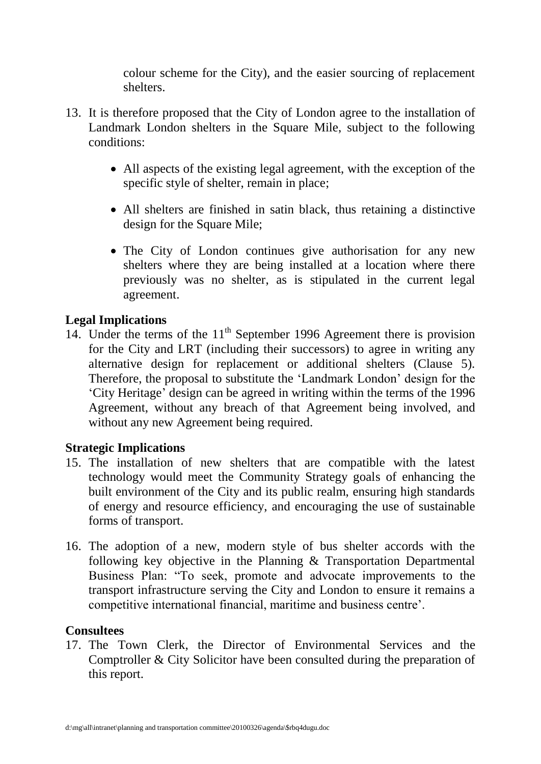colour scheme for the City), and the easier sourcing of replacement shelters.

- 13. It is therefore proposed that the City of London agree to the installation of Landmark London shelters in the Square Mile, subject to the following conditions:
	- All aspects of the existing legal agreement, with the exception of the specific style of shelter, remain in place;
	- All shelters are finished in satin black, thus retaining a distinctive design for the Square Mile;
	- The City of London continues give authorisation for any new shelters where they are being installed at a location where there previously was no shelter, as is stipulated in the current legal agreement.

## **Legal Implications**

14. Under the terms of the  $11<sup>th</sup>$  September 1996 Agreement there is provision for the City and LRT (including their successors) to agree in writing any alternative design for replacement or additional shelters (Clause 5). Therefore, the proposal to substitute the "Landmark London" design for the "City Heritage" design can be agreed in writing within the terms of the 1996 Agreement, without any breach of that Agreement being involved, and without any new Agreement being required.

# **Strategic Implications**

- 15. The installation of new shelters that are compatible with the latest technology would meet the Community Strategy goals of enhancing the built environment of the City and its public realm, ensuring high standards of energy and resource efficiency, and encouraging the use of sustainable forms of transport.
- 16. The adoption of a new, modern style of bus shelter accords with the following key objective in the Planning & Transportation Departmental Business Plan: "To seek, promote and advocate improvements to the transport infrastructure serving the City and London to ensure it remains a competitive international financial, maritime and business centre".

# **Consultees**

17. The Town Clerk, the Director of Environmental Services and the Comptroller & City Solicitor have been consulted during the preparation of this report.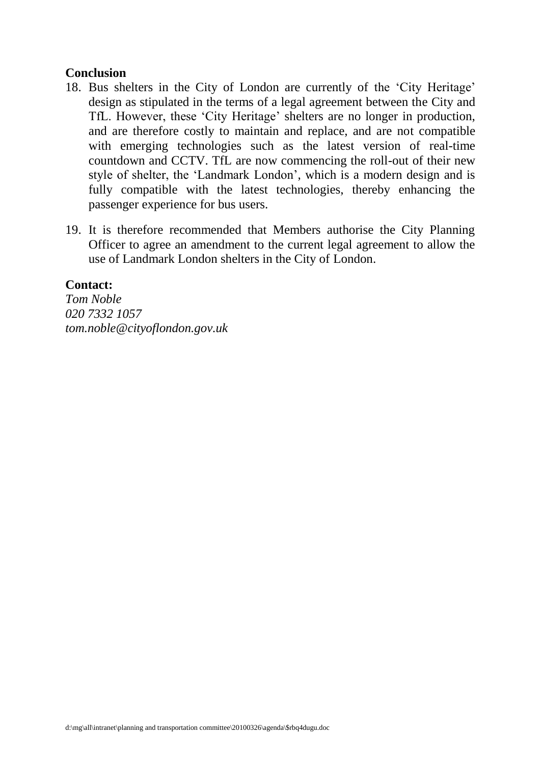#### **Conclusion**

- 18. Bus shelters in the City of London are currently of the "City Heritage" design as stipulated in the terms of a legal agreement between the City and TfL. However, these "City Heritage" shelters are no longer in production, and are therefore costly to maintain and replace, and are not compatible with emerging technologies such as the latest version of real-time countdown and CCTV. TfL are now commencing the roll-out of their new style of shelter, the "Landmark London", which is a modern design and is fully compatible with the latest technologies, thereby enhancing the passenger experience for bus users.
- 19. It is therefore recommended that Members authorise the City Planning Officer to agree an amendment to the current legal agreement to allow the use of Landmark London shelters in the City of London.

#### **Contact:**

*Tom Noble 020 7332 1057 tom.noble@cityoflondon.gov.uk*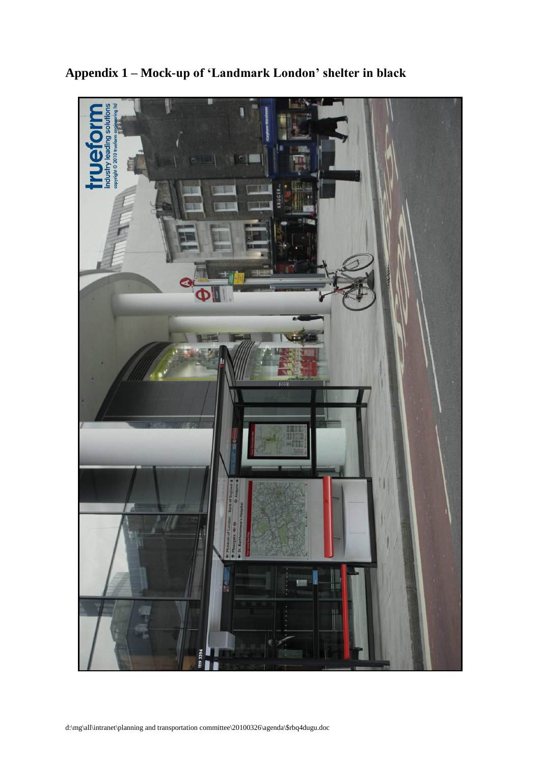

**Appendix 1 – Mock-up of "Landmark London" shelter in black**